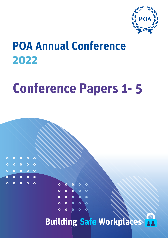

# **POA Annual Conference 2022**

 $\bullet$ 

 $0 0 0 0 0$ 

 $\bullet$ 

 $0 0 0 0$ 

 $\bullet$ 

 $\bullet$ 

 $\bullet$ 

 $\bullet$  $\bullet$ 

 $\ddot{\mathbf{o}}$ 

 $\bullet$ 

 $\bullet$ 

 $\ddot{\bullet}$ 

 $\ddot{\bullet}$ 

 $\circ$   $\circ$   $\circ$ 

 $\begin{array}{ccc} & \circ & \circ & \circ & \circ \end{array}$ 

# **Conference Papers 1- 5**

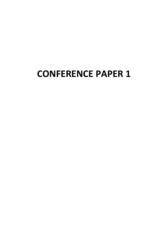# **CONFERENCE PAPER 1**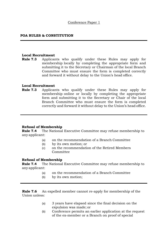#### **POA RULES & CONSTITUTION**

#### **Local Recruitment**

**Rule 7.3** Applicants who qualify under these Rules may apply for membership locally by completing the appropriate form and submitting it to the Secretary or Chairman of the local Branch Committee who must ensure the form is completed correctly and forward it without delay to the Union's head office.

#### **Local Recruitment**

**Rule 7.3** Applicants who qualify under these Rules may apply for membership online or locally by completing the appropriate form and submitting it to the Secretary or Chair of the local Branch Committee who must ensure the form is completed correctly and forward it without delay to the Union's head office.

#### **Refusal of Membership**

**Rule 7.4** The National Executive Committee may refuse membership to any applicant:

- (a) on the recommendation of a Branch Committee
- (b) by its own motion; or
- (c) on the recommendation of the Retired Members Committee

#### **Refusal of Membership**

**Rule 7.4** The National Executive Committee may refuse membership to any applicant:

- (a) on the recommendation of a Branch Committee
- (b) by its own motion;

**Rule 7.6** An expelled member cannot re-apply for membership of the Union unless:

- (a) 3 years have elapsed since the final decision on the expulsion was made; or
- (b) Conference permits an earlier application at the request of the ex-member or a Branch on proof of special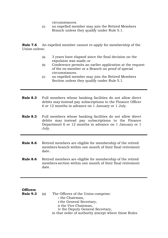circumstances.

(c) no expelled member may join the Retired Members Branch unless they qualify under Rule 5.1.

**Rule 7.6** An expelled member cannot re-apply for membership of the Union unless:

- (a) 3 years have elapsed since the final decision on the expulsion was made; or
- (b) Conference permits an earlier application at the request of the ex-member or a Branch on proof of special circumstances.
- (c) no expelled member may join the Retired Members Section unless they qualify under Rule 5.1.
- **Rule 8.3** Full members whose banking facilities do not allow direct debits may instead pay subscriptions to the Finance Officer 6 or 12 months in advance on 1 January or 1 July.
- **Rule 8.3** Full members whose banking facilities do not allow direct debits may instead pay subscriptions to the Finance Department 6 or 12 months in advance on 1 January or 1 July.
- **Rule 8.6** Retired members are eligible for membership of the retired members branch within one month of their final retirement date.
- **Rule 8.6** Retired members are eligible for membership of the retired members section within one month of their final retirement date.

#### **Officers**

**Rule 9.3** (a) The Officers of the Union comprise: i the Chairman, ii the General Secretary, iii the Vice Chairman, iv the Deputy General Secretary, in that order of authority (except where these Rules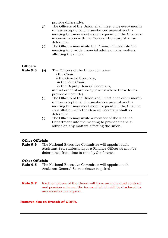provide differently).

- (b) The Officers of the Union shall meet once every month unless exceptional circumstances prevent such a meeting but may meet more frequently if the Chairman in consultation with the General Secretary shall so determine.
- (c) The Officers may invite the Finance Officer into the meeting to provide financial advice on any matters affecting the union.

#### **Officers**

- **Rule 9.3** (a) The Officers of the Union comprise: i the Chair, ii the General Secretary, iii the Vice Chair, iv the Deputy General Secretary, in that order of authority (except where these Rules provide differently). (b) The Officers of the Union shall meet once every month unless exceptional circumstances prevent such a meeting but may meet more frequently if the Chair in
	- consultation with the General Secretary shall so determine. (c) The Officers may invite a member of the Finance Department into the meeting to provide financial

advice on any matters affecting the union.

#### **Other Officials**

**Rule 9.5** The National Executive Committee will appoint such Assistant Secretaries and/or a Finance Officer as may be determined from time to time by Conference.

#### **Other Officials**

- **Rule 9.5** The National Executive Committee will appoint such Assistant General Secretaries as required.
- **Rule 9.7** Each employee of the Union will have an individual contract and pension scheme, the terms of which will be disclosed to any member on request.

#### **Remove due to Breach of GDPR.**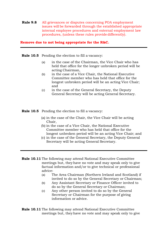**Rule 9.8** All grievances or disputes concerning POA employment issues will be forwarded through the established appropriate internal employee procedures and external employment law procedures, (unless these rules provide differently).

#### **Remove due to not being appropriate for the R&C.**

**Rule 10.5** Pending the election to fill a vacancy:

- (a) in the case of the Chairman, the Vice Chair who has held that office for the longer unbroken period will be acting Chairman,
- (b) in the case of a Vice Chair, the National Executive Committee member who has held that office for the longest unbroken period will be an acting Vice Chair; and
- (c) in the case of the General Secretary, the Deputy General Secretary will be acting General Secretary.

#### **Rule 10.5** Pending the election to fill a vacancy:

- (a) in the case of the Chair, the Vice Chair will be acting Chair,
- (b) in the case of a Vice Chair, the National Executive Committee member who has held that office for the longest unbroken period will be an acting Vice Chair; and
- (c) in the case of the General Secretary, the Deputy General Secretary will be acting General Secretary.
- **Rule 10.11** The following may attend National Executive Committee meetings but, theyhave no vote and may speak only to give factual information and/or to give technical or professional advice:
	- (a) The Area Chairman (Northern Ireland and Scotland) if invited to do so by the General Secretary or Chairman;
	- (b) Any Assistant Secretary or Finance Officer invited to do so by the General Secretary or Chairman;
	- (c) Any other person invited to do so by the General Secretary or Chairman for the purpose of giving information or advice.
- **Rule 10.11** The following may attend National Executive Committee meetings but, theyhave no vote and may speak only to give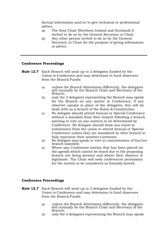factual information and/or to give technical or professional advice:

- (a) The Area Chair (Northern Ireland and Scotland) if invited to do so by the General Secretary or Chair.
- (b) Any other person invited to do so by the General Secretary or Chair for the purpose of giving information or advice.

#### **Conference Proceedings**

**Rule 12.7** Each Branch will send up to 2 delegates funded by the Union to Conference and may determine to fund observers from the Branch Funds:

- (a) unless the Branch determines differently, the delegates will normally be the Branch Chair and Secretary of the Branch;
- (b) only the 2 delegates representing the Branch may speak for the Branch on any matter at Conference, if any observer speaks in place of the delegates, this will be dealt with as a breach of the Rules & Constitution.
- (c) No delegate should attend Annual or Special Conference without a mandate from their branch following a branch meeting to vote on any matters to be determined by Conference. No delegate should draw any travel or subsistence from the union to attend Annual or Special Conference unless they are mandated by their branch to fully represent their member's interests
- (d) No delegate may speak or vote in contravention of his/her branch mandate.
- (e) Where any Conference motion that has been placed on the agenda which cannot be heard due to the proposing branch not being present and where their absence is legitimate. The Chair will seek conferences permission for the motion to be considered as formally moved.

#### **Conference Proceedings**

- **Rule 12.7** Each Branch will send up to 2 delegates funded by the Union to Conference and may determine to fund observers from the Branch Funds:
	- (a) unless the Branch determines differently, the delegates will normally be the Branch Chair and Secretary of the Branch;
	- (b) only the 2 delegates representing the Branch may speak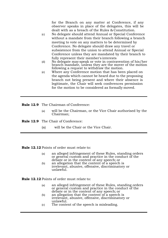for the Branch on any matter at Conference, if any observer speaks in place of the delegates, this will be dealt with as a breach of the Rules & Constitution.

- (c) No delegate should attend Annual or Special Conference without a mandate from their branch following a branch meeting to vote on any matters to be determined by Conference. No delegate should draw any travel or subsistence from the union to attend Annual or Special Conference unless they are mandated by their branch to fully represent their member's interests
- (d) No delegate may speak or vote in contravention of his/her branch mandate, unless they are the mover of the motion following a request to withdraw the motion.
- (e) Where any Conference motion that has been placed on the agenda which cannot be heard due to the proposing branch not being present and where their absence is legitimate, the Chair will seek conferences permission for the motion to be considered as formally moved.
- **Rule 12.9** The Chairman of Conference:
	- (a) will be the Chairman, or the Vice Chair authorised by the Chairman;

**Rule 12.9** The Chair of Conference:

(a) will be the Chair or the Vice Chair.

**Rule 12.12** Points of order must relate to:

- (a) an alleged infringement of these Rules, standing orders or general custom and practice in the conduct of the debate or in the content of any speech; or
- (b) an allegation that the content of a speech is irrelevant, abusive, offensive, discriminatory or unlawful.

**Rule 12.12** Points of order must relate to:

- (a) an alleged infringement of these Rules, standing orders or general custom and practice in the conduct of the debate or in the content of any speech; or
- (b) an allegation that the content of a speech is irrelevant, abusive, offensive, discriminatory or unlawful.
- (c) The content of the speech is misleading.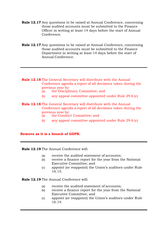- **Rule 12.17** Any questions to be raised at Annual Conference, concerning those audited accounts must be submitted to the Finance Officer in writing at least 14 days before the start of Annual Conference.
- **Rule 12.17** Any questions to be raised at Annual Conference, concerning those audited accounts must be submitted to the Finance Department in writing at least 14 days before the start of Annual Conference.
- **Rule 12.18** The General Secretary will distribute with the Annual Conference agenda a report of all decisions taken during the previous year by:<br>(a) the Discipli
	- the Disciplinary Committee; and
	- (b) any appeal committee appointed under Rule 29.6 (c)
- **Rule 12.18** The General Secretary will distribute with the Annual Conference agenda a report of all decisions taken during the previous year by:
	- (a) the Conduct Committee; and
	- (b) any appeal committee appointed under Rule 29.6 (c)

#### **Remove as it is a breach of GDPR.**

**Rule 12.19** The Annual Conference will:

- (a) receive the audited statement of accounts;
- (b) receive a finance report for the year from the National Executive Committee; and
- (c) appoint (or reappoint) the Union's auditors under Rule 16.15.

**Rule 12.19** The Annual Conference will:

- (a) receive the audited statement of accounts;
- (b) receive a finance report for the year from the National Executive Committee; and
- (c) appoint (or reappoint) the Union's auditors under Rule 16.14.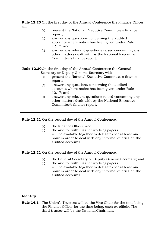**Rule 12.20** On the first day of the Annual Conference the Finance Officer will:

- (a) present the National Executive Committee's finance report;
- (b) answer any questions concerning the audited accounts where notice has been given under Rule 12.17; and
- (c) answer any relevant questions raised concerning any other matters dealt with by the National Executive Committee's finance report.

**Rule 12.20**On the first day of the Annual Conference the General Secretary or Deputy General Secretary will:

- (a) present the National Executive Committee's finance report;
- (b) answer any questions concerning the audited accounts where notice has been given under Rule 12.17; and
- (c) answer any relevant questions raised concerning any other matters dealt with by the National Executive Committee's finance report.

**Rule 12.21** On the second day of the Annual Conference:

- (a) the Finance Officer; and
- (b) the auditor with his/her working papers; will be available together to delegates for at least one hour in order to deal with any informal queries on the audited accounts.

**Rule 12.21** On the second day of the Annual Conference:

- (a) the General Secretary or Deputy General Secretary; and
- (b) the auditor with his/her working papers; will be available together to delegates for at least one hour in order to deal with any informal queries on the audited accounts.

#### **Identity**

**Rule 14.1** The Union's Trustees will be the Vice Chair for the time being, the Finance Officer for the time being, each ex-officio. The third trustee will be the National Chairman.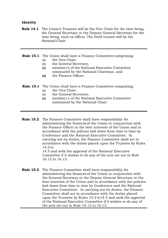#### **Identity**

- **Rule 14.1** The Union's Trustees will be the Vice Chair for the time being, the General Secretary or the Deputy General Secretary for the time being, each ex-officio. The third trustee will be the National Chair.
- **Rule 15.1** The Union shall have a Finance Committee comprising:
	- (a) the Vice Chair,
	- (b) the General Secretary,
	- *(c)* member/s of the National Executive Committee nominated by the National Chairman, and
	- *(d)* the Finance Officer.

#### **Rule 15.1** The Union shall have a Finance Committee comprising:

- (a) the Vice Chair,
- (b) the General Secretary,
- *(c)* member/s of the National Executive Committee nominated by the National Chair.
- **Rule 15.2** The Finance Committee shall have responsibility for administering the finances of the Union in conjunction with the Finance Officer in the best interests of the Union and in accordance with the policies laid down from time to time by Conference and the National Executive Committee. In carrying out its duties, the Finance Committee shall act in accordance with the duties placed upon the Trustees by Rules 14.2 to

14.5 and seek the approval of the National Executive Committee if it wishes to do any of the acts set out in Rule 16.12 to 16.13.

**Rule 15.2** The Finance Committee shall have responsibility for administering the finances of the Union in conjunction with the General Secretary or the Deputy General Secretary in the best interests of the Union and in accordance with the policies laid down from time to time by Conference and the National Executive Committee. In carrying out its duties, the Finance Committee shall act in accordance with the duties placed upon the Trustees by Rules 14.2 to14.5 and seek the approval of the National Executive Committee if it wishes to do any of the acts set out in Rule 16.12 to 16.13.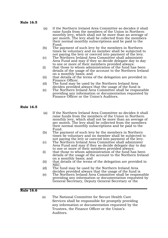#### **Rule 16.5**

- (a) If the Northern Ireland Area Committee so decides it shall raise funds from the members of the Union in Northern monthly levy, which shall not be more than an average of<br>per month. The levy shall be collected from the members<br>their normal monthly subscriptions and be paid to the<br>Fund.<br>(b) The payment of such levy by the members in No
- 
- not paying the levy or coerced into payment of the levy.<br>
(c) The Northern Ireland Area Committee shall administer<br>
Area Fund and may if they so decide delegate day to day to one or more of their members provided always:<br>(i) that those to whom administration of the fund has been
- details of the usage of the account to the Northern Ireland on a monthly basis; and
- (ii) that details of the terms of the delegation are provided in Finance Officer.
- (d) The fund may be used by the Northern Ireland Area<br>decides provided always that the usage of the fund is
- $\epsilon$  (e) The Northern Ireland Area Committee shall be responsible providing any information or documentation requested by Finance Officer or the Union's Auditors.

#### **Rule 16.5**

- (a) If the Northern Ireland Area Committee so decides it shall raise funds from the members of the Union in Northern per month. The levy shall be collected from the members<br>their normal monthly subscriptions and be paid to the<br>Fund.<br>(b) The payment of such levy by the members in Northern<br>times be voluntary and no member shall be subjecte
- 
- not paying the levy or coerced into payment of the levy.<br>
(c) The Northern Ireland Area Committee shall administer<br>
Area Fund and may if they so decide delegate day to day
- to one or more of their members provided always:<br>(i) that those to whom administration of the fund has been details of the usage of the account to the Northern Ireland on a monthly basis; and
- (ii) that details of the terms of the delegation are provided in
- (d) The fund may be used by the Northern Ireland Area<br>decides provided always that the usage of the fund is
- $\epsilon$  (e) The Northern Ireland Area Committee shall be responsible providing any information or documentation requested by General Secretary, Deputy General Secretary or the

#### **Rule 16.6**

(e) The National Committee for Secure Health Care Services shall be responsible for promptly providing any information or documentation requested by the Trustees, the Finance Officer or the Union's Auditors.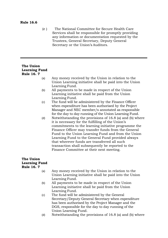#### **Rule 16.6**

(e ) The National Committee for Secure Health Care Services shall be responsible for promptly providing any information or documentation requested by the Trustees, General Secretary, Deputy General Secretary or the Union's Auditors.

#### **The Union Learning Fund Rule 16. 7**

- (a) Any money received by the Union in relation to the Union Learning initiative shall be paid into the Union Learning Fund.
- (b) All payments to be made in respect of the Union Learning initiative shall be paid from the Union Learning Fund.
- (c) The fund will be administered by the Finance Officer when expenditure has been authorised by the Project Manager and NEC member/s annotated as responsible for the day to day running of the Union Learning Fund.
- (d) Notwithstanding the provisions of 16.8 (a) and (b) where it is necessary for the fulfilling of the Union's commitments to the learning initiative programme the Finance Officer may transfer funds from the General Fund to the Union Learning Fund and from the Union Learning Fund to the General Fund provided always that wherever funds are transferred all such transaction shall subsequently be reported to the Finance Committee at their next meeting.

#### **The Union Learning Fund Rule 16. 7**

- (a) Any money received by the Union in relation to the Union Learning initiative shall be paid into the Union Learning Fund.
- (b) All payments to be made in respect of the Union Learning initiative shall be paid from the Union Learning Fund.
- (c) The fund will be administered by the General Secretary/Deputy General Secretary when expenditure has been authorised by the Project Manager and the DGS, responsible for the day to day running of the Union Learning Fund.
- (d) Notwithstanding the provisions of 16.8 (a) and (b) where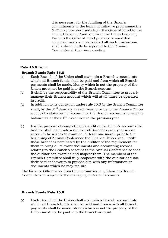it is necessary for the fulfilling of the Union's commitments to the learning initiative programme the NEC may transfer funds from the General Fund to the Union Learning Fund and from the Union Learning Fund to the General Fund provided always that wherever funds are transferred all such transaction shall subsequently be reported to the Finance Committee at their next meeting.

#### **Rule 16.8 from:**

#### **Branch Funds Rule 16.8**

- (a) Each Branch of the Union shall maintain a Branch account into which all Branch funds shall be paid and from which all Branch payments shall be made. Money which is not the property of the Union must not be paid into the Branch account.
- (b) It shall be the responsibility of the Branch Committee to properly manage their Branch account which will at all times be operated in credit.
- (c) In addition to its obligation under rule  $20.3$  (g) the Branch Committee shall, by the 31<sup>st</sup> January in each year, provide to the Finance Officer a copy of a statement of account for the Branch account showing the balance as at the  $31<sup>st</sup>$  December in the previous year.
- (d) For the purpose of completing his audit of the Union's accounts the Auditor shall nominate a number of Branches each year whose accounts he wishes to examine. At least one month prior to the beginning of Annual Conference the Finance Officer shall notify those branches nominated by the Auditor of the requirement for them to bring all relevant documents and accounting records relating to the Branch's account to the Annual Conference so that the Auditor can examine and inspect them. The members of the Branch Committee shall fully cooperate with the Auditor and use their best endeavours to provide him with any information or documents which he may require.

The Finance Officer may from time to time issue guidance to Branch Committees in respect of the managing of Branch accounts

#### **Branch Funds Rule 16.8**

(a) Each Branch of the Union shall maintain a Branch account into which all Branch funds shall be paid and from which all Branch payments shall be made. Money which is not the property of the Union must not be paid into the Branch account.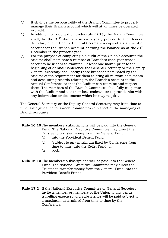- (b) It shall be the responsibility of the Branch Committee to properly manage their Branch account which will at all times be operated in credit.
- (c) In addition to its obligation under rule  $20.3$  (g) the Branch Committee shall, by the  $31<sup>st</sup>$  January in each year, provide to the General Secretary or the Deputy General Secretary a copy of a statement of account for the Branch account showing the balance as at the  $31<sup>st</sup>$ December in the previous year.
- (d) For the purpose of completing his audit of the Union's accounts the Auditor shall nominate a number of Branches each year whose accounts he wishes to examine. At least one month prior to the beginning of Annual Conference the General Secretary or the Deputy General Secretary shall notify those branches nominated by the Auditor of the requirement for them to bring all relevant documents and accounting records relating to the Branch's account to the Annual Conference so that the Auditor can examine and inspect them. The members of the Branch Committee shall fully cooperate with the Auditor and use their best endeavours to provide him with any information or documents which he may require.

The General Secretary or the Deputy General Secretary may from time to time issue guidance to Branch Committees in respect of the managing of Branch accounts

**Rule 16.10** The members' subscriptions will be paid into the General Fund. The National Executive Committee may direct the Trustee to transfer money from the General Fund: (a) into the Provident Benefit Fund;

- (b) (subject to any maximum fixed by Conference from time to time) into the Relief Fund; or
- (c) both.
- **Rule 16.10** The members' subscriptions will be paid into the General Fund. The National Executive Committee may direct the Trustee to transfer money from the General Fund into the Provident Benefit Fund;
- **Rule 17.2** If the National Executive Committee or General Secretary invite a member or members of the Union to any venue, travelling expenses and subsistence will be paid subject to a maximum determined from time to time by the Conference.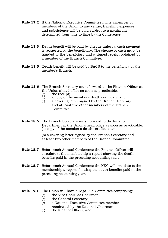- **Rule 17.2** If the National Executive Committee invite a member or members of the Union to any venue, travelling expenses and subsistence will be paid subject to a maximum determined from time to time by the Conference.
- **Rule 18.5** Death benefit will be paid by cheque unless a cash payment is requested by the beneficiary. The cheque or cash must be handed to the beneficiary and a signed receipt obtained by a member of the Branch Committee.
- **Rule 18.5** Death benefit will be paid by BACS to the beneficiary or the member's Branch.

#### **Rule 18.6** The Branch Secretary must forward to the Finance Officer at the Union's head office as soon as practicable:

- (a) the receipt;<br>(b) a copy of the
- a copy of the member's death certificate; and
- (c) a covering letter signed by the Branch Secretary and at least two other members of the Branch Committee.

#### **Rule 18.6** The Branch Secretary must forward to the Finance Department at the Union's head office as soon as practicable: (a) copy of the member's death certificate; and

(b) a covering letter signed by the Branch Secretary and at least two other members of the Branch Committee.

- **Rule 18.7** Before each Annual Conference the Finance Officer will circulate to the membership a report showing the death benefits paid in the preceding accounting year.
- **Rule 18.7** Before each Annual Conference the NEC will circulate to the membership a report showing the death benefits paid in the preceding accounting year.

#### **Rule 19.1** The Union will have a Legal Aid Committee comprising;

- (a) the Vice Chair (as Chairman);
- (b) the General Secretary;
- (c) a National Executive Committee member nominated by the National Chairman;
- (d) the Finance Officer; and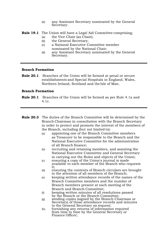(e) any Assistant Secretary nominated by the General Secretary.

**Rule 19.1** The Union will have a Legal Aid Committee comprising;

- (a) the Vice Chair (as Chair);
- (b) the General Secretary;
- (c) a National Executive Committee member nominated by the National Chair;
- (d) any Assistant Secretary nominated by the General Secretary.

#### **Branch Formation**

**Rule 20.1** Branches of the Union will be formed at penal or secure establishments and Special Hospitals in England, Wales, Northern Ireland, Scotland and the Isle of Man.

#### **Branch Formation**

- **Rule 20.1** Branches of the Union will be formed as per Rule 4.1a and 4.1c.
- **Rule 20.3** The duties of the Branch Committee will be determined by the Branch Chairman in consultation with the Branch Secretary in order to protect and promote the interest of the members of the Branch, including (but not limited to):
	- (a) appointing one of the Branch Committee members as Treasurer to be responsible to the Branch and the National Executive Committee for the administration of all Branch finance;
	- (b) recruiting and retaining members, and assisting the National Executive Committee and General Secretary in carrying out the Rules and objects of the Union;
	- (c) ensuring a copy of the Union's journal is made available to each member of the Branch who requests it;
	- (d) ensuring the contents of Branch circulars are brought to the attention of all members of the Branch;
	- (e) keeping written attendance records of the names of the Branch Committee members and the number of Branch members present at each meeting of the Branch and Branch Committee;
	- $(f)$  keeping written minutes of all resolutions passed by the Branch or the Branch Committee;
	- (g) sending copies (signed by the Branch Chairman or Secretary) of those attendance records and minutes to the General Secretary on request;
	- (h) furnishing any returns of information required from time to time by the General Secretary or Finance Officer;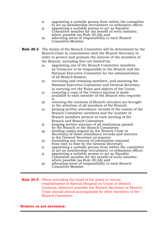- (i) appointing a suitable person from within the committee to act as membership recruitment co-ordination officer;
- (j) appointing a suitable person to act as Equality Committee member for the benefit of every member, where possible (as Rule 20.2d); and
- (k) allocating areas of responsibility to each Branch Committee Member
- **Rule 20.3** The duties of the Branch Committee will be determined by the Branch Chair in consultation with the Branch Secretary in order to protect and promote the interest of the members of the Branch, including (but not limited to):
	- (a) appointing one of the Branch Committee members as Treasurer to be responsible to the Branch and the National Executive Committee for the administration of all Branch finance;
	- (b) recruiting and retaining members, and assisting the National Executive Committee and General Secretary in carrying out the Rules and objects of the Union;
	- (c) ensuring a copy of the Union's journal is made available to each member of the Branch who requests it;
	- (d) ensuring the contents of Branch circulars are brought to the attention of all members of the Branch;
	- (e) keeping written attendance records of the names of the Branch Committee members and the number of Branch members present at each meeting of the Branch and Branch Committee;
	- (f) keeping written minutes of all resolutions passed by the Branch or the Branch Committee;
	- (g) sending copies (signed by the Branch Chair or Secretary) of those attendance records and minutes to the General Secretary on request;
	- (h) furnishing any returns of information required from time to time by the General Secretary.
	- (i) appointing a suitable person from within the committee to act as membership recruitment co-ordination officer;
	- (j) appointing a suitable person to act as Equality Committee member for the benefit of every member, where possible (as Rule 20.2d); and
	- (k) allocating areas of responsibility to each Branch Committee Member
- **Rule 20.5** When attending the head of the penal or secure establishment or Special Hospital on Union or Branch business, wherever possible the Branch Secretary or Branch Chair should attend accompanied by other members of the Branch Committee.

#### **Remove as not necessary.**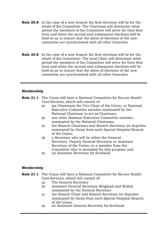- **Rule 20.8** In the case of a new branch the first elections will be for the whole of the Committee. The Chairman will determine what period the members of the Committee will serve for their first term and when the second and subsequent elections will be held so as to ensure that the dates of elections of the new committee are synchronised with all other branches.
- **Rule 20.8** In the case of a new branch the first elections will be for the whole of the Committee. The local Chair will determine what period the members of the Committee will serve for their first term and when the second and subsequent elections will be held so as to ensure that the dates of elections of the new committee are synchronised with all other branches.

#### **Membership**

- **Rule 21.1** The Union will have a National Committee for Secure Health Care Services, which will consist of:
	- (a) (as Chairman) the Vice Chair of the Union, or National Executive Committee member nominated by the National Chairman to act as Chairman;
	- (b) one other National Executive Committee member, nominated by the National Chairman;
	- (c) the Branch Chairman and Branch Secretary (or deputies nominated by them) from each Special Hospital Branch of the Union;
	- (d) a Secretary who will be either the General Secretary, Deputy General Secretary or Assistant Secretary of the Union, or a member from the Committee who is seconded for this purpose; and
	- (e) an Assistant Secretary for Scotland.

#### **Membership**

#### **Rule 21.1** The Union will have a National Committee for Secure Health Care Services, which will consist of:

- (a) The General Secretary
- (b) Assistant General Secretary (England and Wales) nominated by the General Secretary
- (c) the Branch Chair and Branch Secretary (or deputies nominated by them) from each Special Hospital Branch of the Union.
- (d) an Assistant General Secretary for Scotland.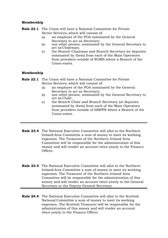#### **Membership**

**Rule 22.1** The Union will have a National Committee for Private Sector Services, which will consist of:

- (a) an employee of the POA nominated by the General Secretary to act as Secretary;
- (b) one other person, nominated by the General Secretary to act as Chairman;
- (c) the Branch Chairman and Branch Secretary (or deputies nominated by them) from each of the Main Operators from providers outside of NOMS where a Branch of the Union exists.

#### **Membership**

- **Rule 22.1** The Union will have a National Committee for Private Sector Services, which will consist of:
	- (a) an employee of the POA nominated by the General Secretary to act as Secretary;
	- (b) one other person, nominated by the General Secretary to act as Chair;
	- (c) the Branch Chair and Branch Secretary (or deputies nominated by them) from each of the Main Operators from providers outside of HMPPS where a Branch of the Union exists.
- **Rule 23.4** The National Executive Committee will allot to the Northern Ireland Area Committee a sum of money to meet its working expenses. The Treasurer of the Northern Ireland Area Committee will be responsible for the administration of this money and will render an account twice yearly to the Finance Officer.
- **Rule 23.4** The National Executive Committee will allot to the Northern Ireland Area Committee a sum of money to meet its working expenses. The Treasurer of the Northern Ireland Area Committee will be responsible for the administration of this money and will render an account twice yearly to the General Secretary or the Deputy General Secretary.
- **Rule 24.4** The National Executive Committee will allot to the Scottish National Committee a sum of money to meet its working expenses. The Scottish Treasurer will be responsible for the administration of this money and will render an account twice yearly to the Finance Officer.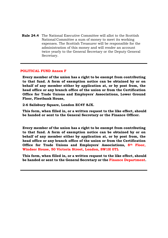**Rule 24.4** The National Executive Committee will allot to the Scottish National Committee a sum of money to meet its working expenses. The Scottish Treasurer will be responsible for the administration of this money and will render an account twice yearly to the General Secretary or the Deputy General Secretary.

#### **POLITICAL FUND Annex F**

**Every member of the union has a right to be exempt from contributing to that fund. A form of exemption notice can be obtained by or on behalf of any member either by application at, or by post from, the head office or any branch office of the union or from the Certification Office for Trade Unions and Employers' Associations, Lower Ground Floor, Fleetbank House,**

**2-6 Salisbury Square, London EC4Y 8JX.**

**This form, when filled in, or a written request to the like effect, should be handed or sent to the General Secretary or the Finance Officer.**

**Every member of the union has a right to be exempt from contributing to that fund. A form of exemption notice can be obtained by or on behalf of any member either by application at, or by post from, the head office or any branch office of the union or from the Certification Office for Trade Unions and Employers' Associations, 8th Floor, Windsor House, 50 Victoria Street, London, SW1H 0TL**

**This form, when filled in, or a written request to the like effect, should be handed or sent to the General Secretary or the Finance Department.**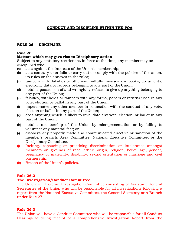#### **CONDUCT AND DISCIPLINE WITHIN THE POA**

#### **RULE 26 DISCIPLINE**

#### **Rule 26.1**

#### **Matters which may give rise to Disciplinary action**

Subject to any statutory restrictions in force at the time, any member may be disciplined who:

- (a) acts against the interests of the Union's membership;
- (b) acts contrary to or fails to carry out or comply with the policies of the union, its rules or the annexes to the rules;
- (c) tampers with, falsifies or otherwise wilfully misuses any books, documents, electronic data or records belonging to any part of the Union;
- (d) obtains possession of and wrongfully refuses to give up anything belonging to any part of the Union;
- (e) falsifies, withholds or tampers with any forms, papers or returns used in any vote, election or ballot in any part of the Union;
- (f) impersonates any other member in connection with the conduct of any vote, election or ballot in any part of the Union;
- (g) does anything which is likely to invalidate any vote, election, or ballot in any part of the Union;
- (h) obtains membership of the Union by misrepresentation or by failing to volunteer any material fact; or
- (i) disobeys any properly made and communicated directive or sanction of the member's branch, Area Committee, National Executive Committee, or the Disciplinary Committee.
- (j) Inciting, espousing or practicing discrimination or intolerance amongst members on grounds of race, ethnic origin, religion, belief, age, gender, pregnancy or maternity, disability, sexual orientation or marriage and civil partnership.
- (k) Breach of the Union's policies.

#### **Rule 26.2**

#### **The Investigation/Conduct Committee**

The Union will have an Investigation Committee consisting of Assistant General Secretaries of the Union who will be responsible for all investigations following a report from the National Executive Committee, the General Secretary or a Branch under Rule 27.

#### **Rule 26.3**

The Union will have a Conduct Committee who will be responsible for all Conduct Hearings following receipt of a comprehensive Investigation Report from the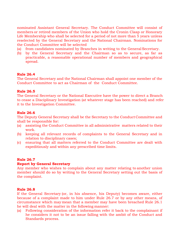nominated Assistant General Secretary. The Conduct Committee will consist of members or retired members of the Union who hold the Cronin Clasp or Honorary Life Membership who shall be selected for a period of not more than 5 years unless reselected by the General Secretary and the National Chairman. Nominations for the Conduct Committee will be selected

- (a) from candidates nominated by Branches in writing to the General Secretary.
- (b) by the General Secretary and the Chairman so as to secure, as far as practicable, a reasonable operational number of members and geographical spread.

#### **Rule 26.4**

The General Secretary and the National Chairman shall appoint one member of the Conduct Committee to act as Chairman of the Conduct Committee.

#### **Rule 26.5**

The General Secretary or the National Executive have the power to direct a Branch to cease a Disciplinary Investigation (at whatever stage has been reached) and refer it to the Investigation Committee.

#### **Rule 26.6**

The Deputy General Secretary shall be the Secretary to the Conduct Committee and shall be responsible for:

- (a) assisting the Conduct Committee in all administrative matters related to their work.
- (b) keeping all relevant records of complaints to the General Secretary and in relation to disciplinary cases;
- (c) ensuring that all matters referred to the Conduct Committee are dealt with expeditiously and within any prescribed time limits.

#### **Rule 26.7**

#### **Report by General Secretary**

Any member who wishes to complain about any matter relating to another union member should do so by writing to the General Secretary setting out the basis of the complaint.

#### **Rule 26.8**

If the General Secretary (or, in his absence, his Deputy) becomes aware, either because of a complaint made to him under Rule 26.7 or by any other means, of circumstance which may mean that a member may have been breached Rule 26.1 he will deal with the matter in the following manner:

(a) Following consideration of the information refer it back to the complainant if he considers it not to be an issue falling with the ambit of the Conduct and Standards process.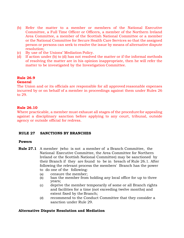- (b) Refer the matter to a member or members of the National Executive Committee, a Full Time Officer or Officers, a member of the Northern Ireland Area Committee, a member of the Scottish National Committee or a member or the National Committee for Secure Health Care Services so that the assigned person or persons can seek to resolve the issue by means of alternative dispute resolution;
- (c) By use of the Unions' Mediation Policy.
- (d) If action under (b) to (d) has not resolved the matter or if the informal methods of resolving the matter are in his opinion inappropriate, then he will refer the matter to be investigated by the Investigation Committee.

#### **Rule 26.9 General**

#### The Union and or its officials are responsible for all approved reasonable expenses incurred by or on behalf of a member in proceedings against them under Rules 26 to 29.

#### **Rule 26.10**

Where practicable, a member must exhaust all stages of the procedure for appealing against a disciplinary sanction before applying to any court, tribunal, outside agency or outside official for redress.

#### **RULE 27 SANCTIONS BY BRANCHES**

#### **Powers**

- **Rule 27.1** A member (who is not a member of a Branch Committee, the National Executive Committee, the Area Committee for Northern Ireland or the Scottish National Committee) may be sanctioned by their Branch if they are found to be in breach of Rule 26.1. After following the relevant process the members' Branch has the power to do one of the following:
	- (a) censure the member;
	- (b) ban the member from holding any local office for up to three years;
	- (c) deprive the member temporarily of some or all Branch rights and facilities for a time (not exceeding twelve months) and extent fixed by the Branch;
	- (d) recommend to the Conduct Committee that they consider a sanction under Rule 29.

#### **Alternative Dispute Resolution and Mediation**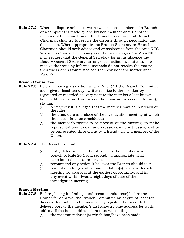**Rule 27.2** Where a dispute arises between two or more members of a Branch or a complaint is made by one branch member about another member of the same branch the Branch Secretary and Branch Chairman shall try to resolve the dispute through negotiation and discussion. When appropriate the Branch Secretary or Branch Chairman should seek advice and or assistance from the Area NEC. Where it is thought necessary and the parties agree the Area NEC may request that the General Secretary (or in his absence the Deputy General Secretary) arrange for mediation. If attempts to resolve the issue by informal methods do not resolve the matter, then the Branch Committee can then consider the matter under Rule 27.

#### **Branch Committee**

- **Rule 27.3** Before imposing a sanction under Rule 27.1 the Branch Committee must give at least ten days written notice to the member by registered or recorded delivery post to the member's last known home address (or work address if the home address is not known), stating:<br>(a) b**1** 
	- briefly why it is alleged that the member may be in breach of the rules;
	- (b) the time, date and place of the investigation meeting at which the matter is to be considered;
	- (c) the member's rights: to be present at the meeting; to make representations; to call and cross-examine witnesses; and to be represented throughout by a friend who is a member of the Union.
- **Rule 27.4** The Branch Committee will:
	- (a) firstly determine whether it believes the member is in breach of Rule 26.1 and secondly if appropriate what sanction it deems appropriate;
	- (b) recommend any action it believes the Branch should take;
	- (c) place its findings and recommendation(s) before a Branch meeting for approval at the earliest opportunity, and in any event within twenty-eight days of date of the investigation meeting.

#### **Branch Meeting**

- **Rule 27.5** Before placing its findings and recommendation(s) before the Branch for approval the Branch Committee must give at least ten days written notice to the member by registered or recorded delivery post to the member's last known home address (or work address if the home address is not known) stating:
	- (a) the recommendation(s) which has/have been made;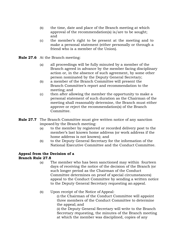- (b) the time, date and place of the Branch meeting at which approval of the recommendation(s) is/are to be sought; and
- (c) the member's right to be present at the meeting and to make a personal statement (either personally or through a friend who is a member of the Union).
- **Rule 27.6** At the Branch meeting:
	- (a) all proceedings will be fully minuted by a member of the Branch agreed in advance by the member facing disciplinary action or, in the absence of such agreement, by some other person nominated by the Deputy General Secretary;
	- (b) a member of the Branch Committee will present the Branch Committee's report and recommendation to the meeting; and
	- (c) then after allowing the member the opportunity to make a personal statement of such duration as the Chairman of the meeting shall reasonably determine, the Branch must either approve or reject the recommendation(s) of the Branch Committee.
- **Rule 27.7** The Branch Committee must give written notice of any sanction imposed by the Branch meeting:
	- (a) to the member by registered or recorded delivery post to the member's last known home address (or work address if the home address is not known); and
	- (b) to the Deputy General Secretary for the information of the National Executive Committee and the Conduct Committee.

#### **Appeal from the Decision of a Branch Rule 27.8**

- (a) The member who has been sanctioned may within fourteen days of receiving the notice of the decision of the Branch (or such longer period as the Chairman of the Conduct Committee determines on proof of special circumstances) appeal to the Conduct Committee by sending a written notice to the Deputy General Secretary requesting an appeal.
- (b) Upon receipt of the Notice of Appeal:

(i) the Chairman of the Conduct Committee will appoint three members of the Conduct Committee to determine the appeal; and

(ii) the Deputy General Secretary will write to the Branch Secretary requesting, the minutes of the Branch meeting at which the member was disciplined, copies of any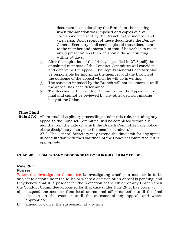documents considered by the Branch at the meeting when the sanction was imposed and copies of any correspondence sent by the Branch to the member and vice versa. Upon receipt of these documents the Deputy General Secretary shall send copies of those documents to the member and inform him that if he wishes to make any representations then he should do so in writing within 14 days.

- (c) After the expiration of the 14 days specified in 27.8(b)(ii) the appointed members of the Conduct Committee will consider and determine the appeal. The Deputy General Secretary shall be responsible for informing the member and the Branch of the outcome of the appeal which he will do in writing.
- (d) The sanction imposed by the Branch will not be enforced until the appeal has been determined.
- (e) The decision of the Conduct Committee on the Appeal will be final and cannot be reviewed by any other decision making body of the Union.

#### **Time Limit**

**Rule 27.9** All internal disciplinary proceedings under this rule, including any appeal to the Conduct Committee, will be completed within six months from the date on which the Branch Committee gave notice of the disciplinary charges to the member under rule 27.3. The General Secretary may extend the time limit for any appeal in consultation with the Chairman of the Conduct Committee if it is appropriate.

#### **RULE 28 TEMPORARY SUSPENSION BY CONDUCT COMMITTEE**

#### **Rule 28.1**

#### **Powers**

Where the Investigation Committee is investigating whether a member is to be subject to action under the Rules or where a decision or an appeal is pending; and they believe that it is prudent for the protection of the Union or any Branch then the Conduct Committee appointed for that case under Rule 29.2, has power to:

- a) suspend the member from local or national office (or both) until the final decision on the case or until the outcome of any appeal; and where appropriate.
- b) amend or cancel the suspension at any time.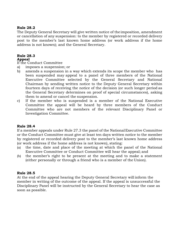#### **Rule 28.2**

The Deputy General Secretary will give written notice of the imposition, amendment or cancellation of any suspension: to the member by registered or recorded delivery post to the member's last known home address (or work address if the home address is not known); and the General Secretary.

#### **Rule 28.3**

#### **Appeal**

If the Conduct Committee

- a) imposes a suspension; or
- b) amends a suspension in a way which extends its scope the member who has been suspended may appeal to a panel of three members of the National Executive Committee selected by the General Secretary and National Chairman by sending written notice to the Deputy General Secretary within fourteen days of receiving the notice of the decision (or such longer period as the General Secretary determines on proof of special circumstances), asking them to amend or cancel the suspension.
- c) If the member who is suspended is a member of the National Executive Committee the appeal will be heard by three members of the Conduct Committee who are not members of the relevant Disciplinary Panel or Investigation Committee.

#### **Rule 28.4**

If a member appeals under Rule 27.3 the panel of the NationalExecutive Committee or the Conduct Committee must give at least ten days written notice to the member by registered or recorded delivery post to the member's last known home address (or work address if the home address is not known), stating:

- (a) the time, date and place of the meeting at which the panel of the National Executive Committee or Conduct Committee will hear the appeal; and
- (b) the member's right to be present at the meeting and to make a statement (either personally or through a friend who is a member of the Union).

#### **Rule 28.5**

At the end of the appeal hearing the Deputy General Secretary will inform the member in writing of the outcome of the appeal. If the appeal is unsuccessful the Disciplinary Panel will be instructed by the General Secretary to hear the case as soon as possible.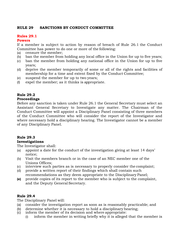#### **RULE 29 SANCTIONS BY CONDUCT COMMITTEE**

#### **Rules 29.1**

#### **Powers**

If a member is subject to action by reason of breach of Rule 26.1 the Conduct Committee has power to do one or more of the following:

- (a) censure the member;
- (b) ban the member from holding any local office in the Union for up to five years;
- (c) ban the member from holding any national office in the Union for up to five years;
- (d) deprive the member temporarily of some or all of the rights and facilities of membership for a time and extent fixed by the Conduct Committee;
- (e) suspend the member for up to two years;
- (f) expel the member; as it thinks is appropriate.

#### **Rule 29.2**

#### **Proceedings**

Before any sanction is taken under Rule 26.1 the General Secretary must select an Assistant General Secretary to Investigate any matter. The Chairman of the Conduct Committee will appoint a Disciplinary Panel consisting of three members of the Conduct Committee who will consider the report of the Investigator and where necessary hold a disciplinary hearing. The Investigator cannot be a member of any Disciplinary Panel.

#### **Rule 29.3**

#### **Investigations**

The Investigator shall:

- (a) appoint a date for the conduct of the investigation giving at least 14 days' notice;
- (b) Visit the members branch or in the case of an NEC member one of the Unions Offices;
- (c) interview such parties as is necessary to properly consider the complaint;
- (d) provide a written report of their findings which shall contain such recommendations as they deem appropriate to the Disciplinary Panel;
- **(e)** provide copies of its report to the member who is subject to the complaint, and the Deputy General Secretary.

#### **Rule 29.4**

The Disciplinary Panel will:

- (a) consider the investigation report as soon as is reasonably practicable; and
- (b) determine whether it is necessary to hold a disciplinary hearing;
- (c) inform the member of its decision and where appropriate:
	- (i) inform the member in writing briefly why it is alleged that the member is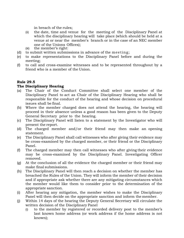in breach of the rules;

- (ii) the date, time and venue for the meeting of the Disciplinary Panel at which the disciplinary hearing will take place (which should be held at a venue at or near the member's branch or in the case of an NEC member one of the Unions Offices);
- (iii) the member's right:
- (d) to submit written submissions in advance of the meeting;
- (e) to make representations to the Disciplinary Panel before and during the meeting;
- (f) to call and cross-examine witnesses and to be represented throughout by a friend who is a member of the Union.

#### **Rule 29.5**

#### **The Disciplinary Hearing**

- (a) The Chair of the Conduct Committee shall select one member of the Disciplinary Panel to act as Chair of the Disciplinary Hearing who shall be responsible for the conduct of the hearing and whose decision on procedural issues shall be final.
- (b) Where the member charged does not attend the hearing, the hearing will proceed in their absence unless a good reason has been given to the Deputy General Secretary prior to the hearing.
- (c) The Disciplinary Panel will listen to a statement by the Investigator who will present the report.
- (d) The charged member and/or their friend may then make an opening statement.
- (e) The Disciplinary Panel shall call witnesses who after giving their evidence may be cross-examined by the charged member, or their friend or the Disciplinary Panel.
- (f) The charged member may then call witnesses who after giving their evidence may be cross-examined by the Disciplinary Panel. Investigating Officer removed.
- (g) At the conclusion of all the evidence the charged member or their friend may make final submissions.
- (h) The Disciplinary Panel will then reach a decision on whether the member has breached the Rules of the Union. They will inform the member of their decision and if appropriate ask whether there are any mitigating circumstances which the member would like them to consider prior to the determination of the appropriate sanction.
- (i) After hearing any mitigation, the member wishes to make the Disciplinary Panel will then decide on the appropriate sanction and inform the member.
- (j) Within 14 days of the hearing the Deputy General Secretary will circulate the written decision of the Disciplinary Panel
	- (i) to the member by registered or recorded delivery post to the member's last known home address (or work address if the home address is not known);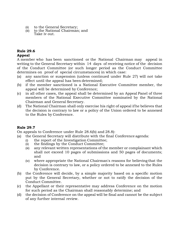- (ii) to the General Secretary;
- (iii) to the National Chairman; and Take iv out.

#### **Rule 29.6**

#### **Appeal**

A member who has been sanctioned or the National Chairman may appeal in writing to the General Secretary within 14 days of receiving notice of the decision of the Conduct Committee (or such longer period as the Conduct Committee determines on proof of special circumstances) in which case:

- (a) any sanction or suspension (unless continued under Rule 27) will not take effect until the appeal has been determined;
- (b) if the member sanctioned is a National Executive Committee member, the appeal will be determined by Conference;
- (c) in all other cases, the appeal shall be determined by an Appeal Panel of three members of the National Executive Committee nominated by the National Chairman and General Secretary.
- (d) The National Chairman shall only exercise his right of appeal ifhe believes that the decision is contrary to law or a policy of the Union ordered to be annexed to the Rules by Conference.

#### **Rule 29.7**

On appeals to Conference under Rule 28.6(b) and 28.8):

- (a) the General Secretary will distribute with the final Conference agenda:
	- (i) the report of the Investigation Committee;
	- (ii) the findings by the Conduct Committee;
	- (iii) any relevant written representations of the member or complainant which shall not exceed 10 pages of submissions and 50 pages of documents; and
	- (iv) where appropriate the National Chairman's reasons for believing that the decision is contrary to law, or a policy ordered to be annexed to the Rules by Conference.
- (b) the Conference will decide, by a simple majority based on a specific motion put by the General Secretary, whether or not to ratify the decision of the Conduct Committee.
- (c) the Appellant or their representative may address Conference on the motion for such period as the Chairman shall reasonably determine; and
- (d) the decision of Conference on the appeal will be final and cannot be the subject of any further internal review.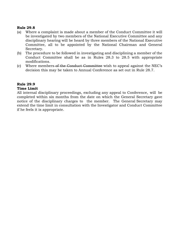#### **Rule 29.8**

- (a) Where a complaint is made about a member of the Conduct Committee it will be investigated by two members of the National Executive Committee and any disciplinary hearing will be heard by three members of the National Executive Committee, all to be appointed by the National Chairman and General Secretary.
- (b) The procedure to be followed in investigating and disciplining a member of the Conduct Committee shall be as in Rules 28.3 to 28.5 with appropriate modifications.
- (c) Where members of the Conduct Committee wish to appeal against the NEC's decision this may be taken to Annual Conference as set out in Rule 28.7.

#### **Rule 29.9**

#### **Time Limit**

All internal disciplinary proceedings, excluding any appeal to Conference, will be completed within six months from the date on which the General Secretary gave notice of the disciplinary charges to the member. The General Secretary may extend the time limit in consultation with the Investigator and Conduct Committee if he feels it is appropriate.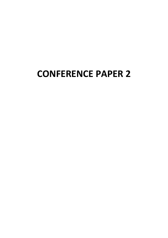# **CONFERENCE PAPER 2**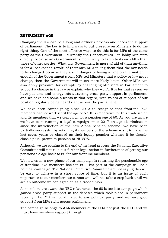#### Conference Paper 2

#### **RETIREMENT AGE**

Changing the law can be a long and arduous process and needs the support of parliament. The key is to find ways to put pressure on Ministers to do the right thing. One of the most effective ways to do this is for MPs of the same party as the Government – currently the Conservatives – to lobby Ministers directly, because any Government is more likely to listen to its own MPs than those of other parties. What any Government is more afraid of than anything is for a "backbench revolt" of their own MPs telling them that the law needs to be changed because they are in danger of losing a vote on the matter. If enough of the Government's own MPs tell Ministers that a policy or law must change, then the Government will much more likely listen. Other MPs can also apply pressure, for example by challenging Ministers in Parliament to support a change in the law or explain why they won't. It is for that reason we have put time and energy into attracting cross party support in parliament, and we have had some success in that regard, with voices of support of our position regularly being heard right across the parliament.

We have been campaigning since 2012 to recognise that frontline POA members cannot work until the age of 67. It is imperative for this trade union and its members that we campaign for a pension age of 60. As you are aware we have been running a legal campaign since 2017 on age discrimination since the introduction of the new Alpha pension scheme. We have been partially successful by retaining if members of the scheme wish, to have the last seven years be classed as their legacy pension whether it be classic, classic plus, premium pension or NUVOS.

Although we are coming to the end of the legal process the National Executive Committee will not rule out further legal action in furtherance of getting our pensionable age back to 60 for our frontline members.

We now enter a new phase of our campaign in returning the pensionable age of frontline POA members back to 60. This part of the campaign will be a political campaign. The National Executive Committee are not saying this will be easy to achieve in a short space of time, but it is an issue of such importance to our members we cannot and will not take a step back until we see an outcome we can agree on as a trade union.

As members are aware the NEC relaunched the 68 is too late campaign which gained cross party support in the debates which took place in parliament recently. The POA is not affiliated to any political party, and we have good support from MPs right across parliament.

The campaign belongs to **ALL** members of the POA not just the NEC and we must have members support through;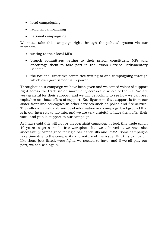- local campaigning
- regional campaigning
- national campaigning.

We must take this campaign right through the political system via our members

- writing to their local MPs
- branch committees writing to their prison constituent MPs and encourage them to take part in the Prison Service Parliamentary Scheme
- the national executive committee writing to and campaigning through which ever government is in power.

Throughout our campaign we have been given and welcomed voices of support right across the trade union movement, across the whole of the UK. We are very grateful for their support, and we will be looking to see how we can best capitalise on those offers of support. Key figures in that support is from our sister front line colleagues in other services such as police and fire service. They offer an invaluable source of information and campaign background that is in our interests to tap into, and we are very grateful to have them offer their vocal and public support to our campaign.

As I have said this will not be an overnight campaign, it took this trade union 10 years to get a smoke free workplace, but we achieved it. we have also successfully campaigned for rigid bar handcuffs and PAVA. Some campaigns take time due to the complexity and nature of the issue. But this campaign, like those just listed, were fights we needed to have, and if we all play our part, we can win again.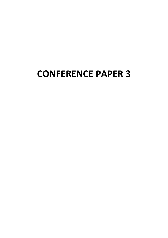# **CONFERENCE PAPER 3**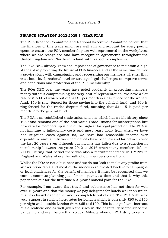#### Conference Paper 3

#### **FINANCE STRATEGY 2022-2025 3 -YEAR PLAN**

The POA Finance Committee and National Executive Committee believe that the finances of this trade union are well run and account for every pound spent to ensure the POA membership are well represented in the workplaces where we are recognised and have recognition agreements throughout the United Kingdom and Northern Ireland with respective employers.

The POA NEC already know the importance of governance to maintain a high standard in protecting the future of POA finances and at the same time deliver a service along with campaigning and representing our members whether that is at local level, national level or strategic legal challenges to improve terms and conditions and protection of the POA membership.

The POA NEC over the years have acted prudently in protecting members money without compromising the very best of representation. We have a flat rate of £15.60 of which out of that £1 per month is ring-fenced for the welfare fund, 15p is ring- fenced for those paying into the political fund, and 30p is ring-fenced for the trades dispute fund, meaning that  $£14.15$  is paid per month into the general fund.

The POA is an established trade union and one which has a rich history since 1939 and remains one of the best value Trade Unions for subscriptions but pro- rata for membership is one of the highest for legal protection. The POA is not immune to inflationary costs and most years apart from when we have had litigation costs against us, we have had reasonable income over expenditure annual returns where deficits have been few and far between over the last 20 years even although our income has fallen due to a reduction in membership between the years 2012 to 2016 when many members left on VEDS. During that period there was also a recruitment freeze in HMPPS in England and Wales where the bulk of our members come from.

Whilst the POA is not a business and we do not look to make any profits from subscription rates and most of the money is reinvested back into campaigns or legal challenges for the benefit of members it must be recognised that we cannot continue planning just for one year at a time and that is why this paper sets out for the first time a 3- year financial plan for the POA.

For example, I am aware that travel and subsistence has not risen for well over 10 years and that the money we pay delegates for hotels whilst on union business hasn't risen either and is completely out of date. The POA NEC seek your support in raising hotel rates for London which is currently £90 to £150 per night and outside London from £65 to £100. This is a significant increase but a realistic one as well given the rises in the hospitality sector since the pandemic and even before that struck. Mileage when on POA duty to remain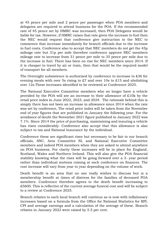at 45 pence per mile and 2 pence per passenger when POA members and delegates are required to attend business for the POA. If the recommended rate of 45 pence set by HMRC was increased, then POA Delegates would be liable for tax. However, if HMRC raises that rate given the increase to fuel then the NEC would request that conference give instruction to the NEC to commence that increase immediately for branch officials due to the increase in fuel costs. Conference also to accept that NEC members do not get the 45p mileage rate but 31p per mile therefore conference approve NEC members mileage rate to increase from 31 pence per mile to 35 pence per mile due to the increase in fuel. There has been no rise for NEC members since 2014. If it is cheaper to travel by air or train, then that would be the required model of transport for all members.

The Overnight subsistence is authorised by conference to increase to £36 for evening meals with over 5s rising to £7 and over 10s to £15 and abolishing over 12s.These increases identified to be reviewed at Conference 2025.

The National Executive Committee members who no longer have a vehicle provided by the POA will see an increase to their allowance of £10k by the retail price index in June 2022, 2023, and 2024. The rationale behind this is simply there has not been an increase in allowance since 2014 when the rate was set by conference, The retail price index will be taken from the November end of year figures that are published in January the following year. For the avoidance of doubt the November 2021 figure published in January 2022 was 7.1%. Since 2014 the price of purchasing, maintaining and insuring a vehicle has risen considerably. Conference also accept that this allowance is also subject to tax and National Insurance by the individual.

Conference these are significant rises but necessary to be fair to our branch officials, SNC, Area Committee NI, and National Executive Committee members and indeed POA members when they are asked to attend anywhere on POA business. For clarity these increases will be in place for England, Scotland, Wales and Northern Ireland. This will also give the POA financial stability knowing what the rises will be going forward over a 3- year period rather than individual motions coming at each conference on finances. The cost increase will vary from year to year depending on the volume of work.

Death benefit is an area that no one really wishes to discuss but is a membership benefit at times of distress for the families of deceased POA members. Conference therefore agrees to the death benefit increasing to £5600. This is reflective of the current average funeral cost and will be subject to a review at Conference 2025.

Branch rebates to each local branch will continue as is now with inflationary increases based on a formula from the Office for National Statistics for RPI, CPI and average earnings and a calculation of the average of these. Branch rebates in January 2022 were raised by 5.5 per cent.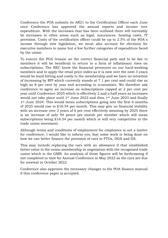Conference the POA submits its AR21 to the Certification Officer each June once Conference has approved the annual reports and income over expenditure. With the increases that has been outlined there will inevitably be increases in other areas such as legal, insurances, heating costs, IT provision. Costs of the certification officer could be up to 2.5% of the POA`s income through new legislation, we must also account for elections for executive members to name but a few further categories of expenditure faced by the union.

To ensure the POA remain on the correct financial path and to be fair to members it will be beneficial to return to a form of inflationary rises on subscriptions. The NEC know the financial pressures on our hard-working members and to apply the retail price index as it is now over the next 3 years would be hard hitting and costly to the membership and we have no intention of increasing by RPI which currently stands at 7.1 per cent and could rise as high as 8 per cent by year end according to economists. We therefore ask conference to agree an increase on subscriptions capped at 2 per cent per year until Conference 2025 which is effectively 2 and a half years as increases would not take place until 1st June 2022 and then 1st June 2023 and finally 1<sup>st</sup> June 2024. This would mean subscriptions going into the first 6 months of 2025 would rise to £16.54 per month. This may give us financial stability with an increase over 3 years of 6 per cent effectively meaning by 2025 there is an increase of only 94 pence per month per member which will mean subscriptions being £16.54 per month which is still very competitive in the trade union movement.

Although terms and conditions of employment for employees is not a matter for conference, I would like to inform you that some work is being done on how we can better finance the provision of cars to FTOs, DGS and GS.

This may include replacing the cars with an allowance if that established better value to the union membership in negotiation with the recognised trade union which is the GMB. An analysis of those figures will be forthcoming if not completed in time for Annual Conference in May 2022 as the cars are due for renewal in October 2022.

Conference also approves the necessary changes to the POA finance manual if this conference paper is accepted.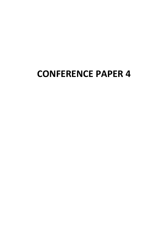# **CONFERENCE PAPER 4**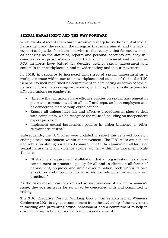#### Conference Paper 4

#### **SEXUAL HARASSMENT AND THE WAY FORWARD**

While events of recent years have thrown into sharp focus the extent of sexual harassment and the sexism, the misogyny that underpins it, and the lack of support and justice for victim – survivors - the reality is that for most women, as shocking as the statistics, reports and personal accounts are, they will come as no surprise. Women in the trade union movement and women as POA members have battled for decades against sexual harassment and sexism in their workplaces in and in wider society and in our movement.

In 2018, in response to increased awareness of sexual harassment as a workplace issue within our union workplaces and outside of them, the TUC General Council reaffirmed its commitment to eliminating all forms of sexual harassment and violence against women, including three specific actions for affiliated unions as employers:

- "Ensure that all unions have effective policies on sexual harassment in place and communicated to all staff and reps, as both employers and as democratic membership organisations.
- Ensure all unions have fair and effective procedures in place to deal with complaints, which recognise the value of including an independent expert presence.
- Implement sexual harassment policies in union branches or other relevant structures."

Subsequently, the TUC rules were updated to reflect this renewed focus on ending sexual harassment within our movement. The TUC rules are explicit and robust in stating our shared commitment to the elimination all forms of sexual harassment and violence against women within our movement. Rule 1b states:

• "It shall be a requirement of affiliation that an organisation has a clear commitment to promote equality for all and to eliminate all forms of harassment, prejudice and unfair discrimination, both within its own structures and through all its activities, including its own employment practices."

As the rules make clear, sexism and sexual harassment are not a women's issue, they are an issue for us all to be concerned with and committed to ending.

The TUC Executive Council Working Group was established at Women's Conference 2021 to signal a commitment from the leadership of the movement to tackling and preventing sexual harassment and a commitment to help to drive joined-up action across the trade union movement.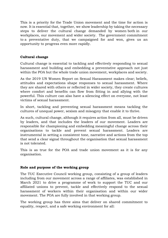This is a priority for the Trade Union movement and the time for action is now. It is essential that, together, we show leadership by taking the necessary steps to deliver the cultural change demanded by women both in our workplaces, our movement and wider society. The government commitment to a preventative duty, that we campaigned for and won, gives us an opportunity to progress even more rapidly.

#### **Cultural change**

Cultural change is essential to tackling and effectively responding to sexual harassment and building and embedding a preventative approach not just within the POA but the whole trade union movement, workplaces and society.

As the 2019 UN Women Report on Sexual Harassment makes clear; beliefs, attitudes and expectations shape responses to sexual harassment. Where they are shared with others or reflected in wider society, they create cultures where comfort and benefits can flow from fitting in and allying with the powerful. This culture can also have a silencing effect on everyone, not least victims of sexual harassment.

In short, tackling and preventing sexual harassment means tackling the cultures of unequal power, sexism and misogyny that enable it to thrive.

As such, cultural change, although it requires action from all, must be driven by leaders, and that includes the leaders of our movement. Leaders are responsible for championing and embedding meaningful change across their organisations to tackle and prevent sexual harassment. Leaders are instrumental in setting a consistent tone, narrative and actions from the top that send a clear signal throughout the organisation that sexual harassment is not tolerated.

This is as true for the POA and trade union movement as it is for any organisation.

#### **Role and purpose of the working group**

The TUC Executive Council working group, consisting of a group of leaders including from our movement across a range of affiliates, was established in March 2021 to drive a programme of work to support the TUC and our affiliated unions to prevent, tackle and effectively respond to the sexual harassment of workers within their organisation and within our wider movement. The POA are fully involved in that working group.

The working group has three aims that deliver on shared commitment to equality, respect, and a safe working environment for all: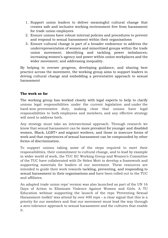- 1. Support union leaders to deliver meaningful cultural change that creates safe and inclusive working environment free from harassment for trade union employees
- 2. Ensure unions have robust internal policies and procedures to prevent and respond to sexual harassment within their organisations
- 3. Ensure cultural change is part of a broader endeavour to address the underrepresentation of women and minoritized groups within the trade union movement; identifying and tackling power imbalances; increasing women's agency and power within union workplaces and the wider movement; and addressing inequality.

By helping to oversee progress, developing guidance, and sharing best practice across the movement, the working group aims to support leaders in driving cultural change and embedding a preventative approach to sexual harassment

#### **The work so far**

The working group has worked closely with legal experts to help to clarify unions legal responsibilities under the current legislation and under the hard-won preventative duty, making clear that unions have legal responsibilities to both employees and members, and any effective strategy will need to address both.

Any strategy must take an intersectional approach. Through research we know that sexual harassment can be more prevalent for younger and disabled women, Black, LGBT+ and migrant workers, and those in insecure forms of work and that experiences of sexual harassment can be compounded by other forms of discrimination.

To support unions taking some of the steps required to meet their responsibilities, their commitment to cultural change, and to lead by example in wider world of work, the TUC EC Working Group and Women's Committee of the TUC have collaborated with Dr Helen Mott to develop a framework and supporting materials for leaders of our movement. These resources are intended to guide their work towards tackling, preventing, and responding to sexual harassment in their organisations and have been rolled out to the TUC and affiliates.

An adapted trade union reps' version was also launched as part of the UN 16 Days of Action to Eliminate Violence Against Women and Girls. A TU Education webinar supporting the launch of the reps 'Preventing Sexual Harassment toolkit' was attend by over 400 reps – a clear signal that this is a priority for our members and that our movement must lead the way through a zero-tolerance approach to sexual harassment and the cultures that enable it.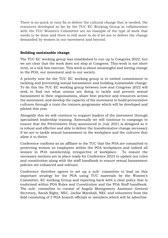There is no quick or easy fix to deliver the cultural change that is needed, the resources developed so far by the TUC EC Working Group in collaboration with the TUC Women's Committee are an example of the type of work that needs to be done and there is still more to do if we are to deliver the change demanded by women in our movement and beyond.

#### **Building sustainable change**

The TUC EC working group was established to run up to Congress 2022, but we are clear that the work does not stop at Congress. This work is not short term, or a tick box exercise. This work is about meaningful and lasting change in the POA, our movement and in our society.

A priority now for the TUC EC working group is to embed commitment to tackling and preventing sexual harassment and building sustainable change. To do this the TUC EC working group between now and Congress 2022 will seek to find out what unions are doing to tackle and prevent sexual harassment in their organisations, share best practice and resources across the movement, and develop the capacity of the movement to build preventative cultures through a train the trainers programme which will be developed and piloted this year.

Alongside this we will continue to support leaders of the movement through specialised leadership training. Externally we will continue to campaign to ensure that the Preventative Duty announced in July 2021 is designed so it is robust and effective and able to deliver the transformative change necessary if we are to tackle sexual harassment in the workplace and the cultures that allow it to thrive.

Conference confirms as an affiliate to the TUC that the POA are committed to protecting women as employees within the POA workplaces and indeed all women in POA membership irrespective of workplace. To ensure the necessary motions are in place ready for Conference 2023 to update our rules and constitution along with the staff handbook to ensure sexual harassment policies are enhanced and relevant.

Conference therefore agrees to set up a sub- committee to lead on this important strategy for the POA using TUC materials by the Women's Committee, EC working Group and reporting back with a clear policy that is enshrined within POA Rules and Constitution and the POA Staff handbook. The sub- committee to consist of Angela Montgomery Assistant General Secretary, Sarah Rigby, NEC, Jackie Marshall, NEC and volunteers from the field consisting of 3 POA branch officials or members which will be advertise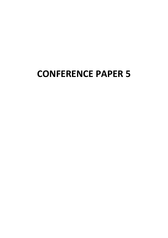# **CONFERENCE PAPER 5**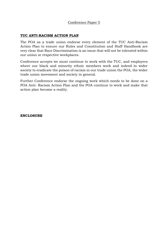#### Conference Paper 5

#### **TUC ANTI-RACISM ACTION PLAN**

The POA as a trade union endorse every element of the TUC Anti-Racism Action Plan to ensure our Rules and Constitution and Staff Handbook are very clear that Race Discrimination is an issue that will not be tolerated within our union or respective workplaces.

Conference accepts we must continue to work with the TUC, and employers where our black and minority ethnic members work and indeed in wider society to eradicate the poison of racism in our trade union the POA, the wider trade union movement and society in general.

Further Conference endorse the ongoing work which needs to be done on a POA Anti- Racism Action Plan and the POA continue to work and make that action plan become a reality.

**ENCLOSURE**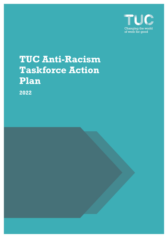

# **TUC Anti-Racism Taskforce Action Plan**

**2022**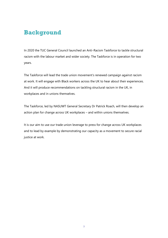### **Background**

In 2020 the TUC General Council launched an Anti-Racism Taskforce to tackle structural racism with the labour market and wider society. The Taskforce is in operation for two years.

The Taskforce will lead the trade union movement's renewed campaign against racism at work. It will engage with Black workers across the UK to hear about their experiences. And it will produce recommendations on tackling structural racism in the UK, in workplaces and in unions themselves.

The Taskforce, led by NASUWT General Secretary Dr Patrick Roach, will then develop an action plan for change across UK workplaces – and within unions themselves.

It is our aim to use our trade union leverage to press for change across UK workplaces and to lead by example by demonstrating our capacity as a movement to secure racial justice at work.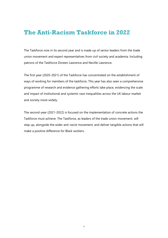### **The Anti-Racism Taskforce in 2022**

The Taskforce now in its second year and is made up of senior leaders from the trade union movement and expert representatives from civil society and academia. Including patrons of the Taskforce Doreen Lawrence and Neville Lawrence.

The first year (2020-2021) of the Taskforce has concentrated on the establishment of ways of working for members of the taskforce. This year has also seen a comprehensive programme of research and evidence gathering efforts take place, evidencing the scale and impact of institutional and systemic race inequalities across the UK labour market and society more widely.

The second-year (2021-2022) is focused on the implementation of concrete actions the Taskforce must achieve. The Taskforce, as leaders of the trade union movement, will step up, alongside the wider anti-racist movement, and deliver tangible actions that will make a positive difference for Black workers.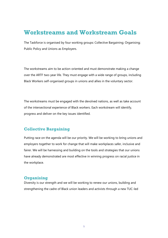### **Workstreams and Workstream Goals**

The Taskforce is organised by four working groups: Collective Bargaining; Organising; Public Policy and Unions as Employers.

The workstreams aim to be action-oriented and must demonstrate making a change over the ARTF two-year life. They must engage with a wide range of groups, including Black Workers self-organised groups in unions and allies in the voluntary sector.

The workstreams must be engaged with the devolved nations, as well as take account of the intersectional experience of Black workers. Each workstream will identify, progress and deliver on the key issues identified.

#### **Collective Bargaining**

Putting race on the agenda will be our priority. We will be working to bring unions and employers together to work for change that will make workplaces safer, inclusive and fairer. We will be harnessing and building on the tools and strategies that our unions have already demonstrated are most effective in winning progress on racial justice in the workplace.

#### **Organising**

Diversity is our strength and we will be working to renew our unions, building and strengthening the cadre of Black union leaders and activists through a new TUC-led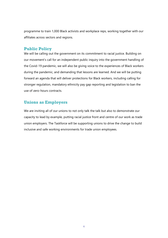programme to train 1,000 Black activists and workplace reps, working together with our affiliates across sectors and regions.

#### **Public Policy**

We will be calling out the government on its commitment to racial justice. Building on our movement's call for an independent public inquiry into the government handling of the Covid-19 pandemic, we will also be giving voice to the experiences of Black workers during the pandemic, and demanding that lessons are learned. And we will be putting forward an agenda that will deliver protections for Black workers, including calling for stronger regulation, mandatory ethnicity pay gap reporting and legislation to ban the use of zero-hours contracts.

#### **Unions as Employers**

We are inviting all of our unions to not only talk the talk but also to demonstrate our capacity to lead by example, putting racial justice front and centre of our work as trade union employers. The Taskforce will be supporting unions to drive the change to build inclusive and safe working environments for trade union employees.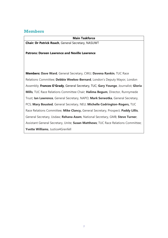#### **Members**

#### **Main Taskforce**

**Chair***:* **Dr Patrick Roach**, General Secretary, NASUWT

#### **Patrons: Doreen Lawrence and Neville Lawrence**

**Members: Dave Ward**, General Secretary, CWU; **Davena Rankin**, TUC Race Relations Committee; **Debbie Weekes-Bernard**, London's Deputy Mayor, London Assembly; **Frances O'Grady**, General Secretary, TUC; **Gary Younge**, Journalist; **Gloria Mills**, TUC Race Relations Committee Chair; **Halima Begum**, Director, Runnymede Trust; **Ian Lawrence**, General Secretary, NAPO; **Mark Serwotka**, General Secretary, PCS; **Mary Bousted**, General Secretary, NEU; **Michelle Codrington-Rogers,** TUC Race Relations Committee; **Mike Clancy,** General Secretary, Prospect; **Paddy Lillis**, General Secretary, Usdaw; **Rehana Azam**, National Secretary, GMB; **Steve Turner**, Assistant General Secretary, Unite; **Susan Matthews**; TUC Race Relations Committee; **Yvette Williams**, Justice4Grenfell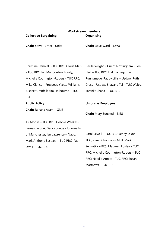| <b>Workstream members</b>                                                                                                |                                                                                                                    |
|--------------------------------------------------------------------------------------------------------------------------|--------------------------------------------------------------------------------------------------------------------|
| <b>Collective Bargaining</b>                                                                                             | <b>Organising</b>                                                                                                  |
| <b>Chair:</b> Steve Turner - Unite                                                                                       | Chair: Dave Ward - CWU                                                                                             |
| Christine Danniell - TUC RRC; Gloria Mills<br>- TUC RRC; Ian Manborde - Equity;<br>Michelle Codrington-Rogers - TUC RRC; | Cecile Wright - Uni of Nottingham; Glen<br>Hart - TUC RRC; Halima Begum -<br>Runnymede; Paddy Lillis - Usdaw; Ruth |
| Mike Clancy - Prospect; Yvette Williams -                                                                                | Cross - Usdaw; Shavana Taj - TUC Wales;                                                                            |
| Justice4Grenfell; Zita Holbourne - TUC                                                                                   | Taranjit Chana - TUC RRC                                                                                           |
| <b>RRC</b>                                                                                                               |                                                                                                                    |
| <b>Public Policy</b>                                                                                                     | <b>Unions as Employers</b>                                                                                         |
| <b>Chair:</b> Rehana Azam - GMB                                                                                          | <b>Chair:</b> Mary Bousted - NEU                                                                                   |
| Ali Moosa - TUC RRC; Debbie Weekes-                                                                                      |                                                                                                                    |
| Bernard - GLA; Gary Younge - University                                                                                  |                                                                                                                    |
| of Manchester; Ian Lawrence - Napo;                                                                                      | Carol Sewell - TUC RRC; Jenny Dixon -                                                                              |
| Mark Anthony Bastiani - TUC RRC; Pat                                                                                     | TUC; Karen Chouhan - NEU; Mark                                                                                     |
| Davis - TUC RRC                                                                                                          | Serwotka - PCS; Maureen Loxley - TUC                                                                               |
|                                                                                                                          | RRC; Michelle Codrington-Rogers - TUC                                                                              |
|                                                                                                                          | RRC; Natalie Arnett - TUC RRC; Susan                                                                               |
|                                                                                                                          | Matthews - TUC RRC                                                                                                 |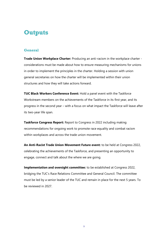### **Outputs**

#### **General**

**Trade Union Workplace Charter:** Producing an anti-racism in the workplace charter considerations must be made about how to ensure measuring mechanisms for unions in order to implement the principles in the charter. Holding a session with union general secretaries on how the charter will be implemented within their union structures and how they will take actions forward.

**TUC Black Workers Conference Event:** Hold a panel event with the Taskforce Workstream members on the achievements of the Taskforce in its first year, and its progress in the second year – with a focus on what impact the Taskforce will leave after its two-year life span.

**Taskforce Congress Report:** Report to Congress in 2022 including making recommendations for ongoing work to promote race equality and combat racism within workplaces and across the trade union movement.

**An Anti-Racist Trade Union Movement Future event:** to be held at Congress 2022, celebrating the achievements of the Taskforce, and presenting an opportunity to engage, connect and talk about the where we are going.

**Implementation and oversight committee:** to be established at Congress 2022, bridging the TUC's Race Relations Committee and General Council. The committee must be led by a senior leader of the TUC and remain in place for the next 5 years. To be reviewed in 2027.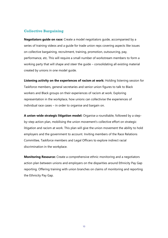#### **Collective Bargaining**

**Negotiators guide on race:** Create a model negotiators guide, accompanied by a series of training videos and a guide for trade union reps covering aspects like issues on collective bargaining, recruitment, training, promotion, outsourcing, pay, performance, etc. This will require a small number of workstream members to form a working party that will shape and steer the guide – consolidating all existing material created by unions in one model guide.

**Listening activity on the experiences of racism at work:** Holding listening session for Taskforce members, general secretaries and senior union figures to talk to Black workers and Black groups on their experiences of racism at work. Exploring representation in the workplace, how unions can collectivise the experiences of individual race cases – in order to organise and bargain on.

**A union-wide strategic litigation model:** Organise a roundtable, followed by a stepby-step action plan, mobilising the union movement's collective effort on strategic litigation and racism at work. This plan will give the union movement the ability to hold employers and the government to account. Inviting members of the Race Relations Committee, Taskforce members and Legal Officers to explore indirect racial discrimination in the workplace.

**Monitoring Resource:** Create a comprehensive ethnic monitoring and a negotiators action plan between unions and employers on the disparities around Ethnicity Pay Gap reporting. Offering training with union branches on claims of monitoring and reporting the Ethnicity Pay Gap.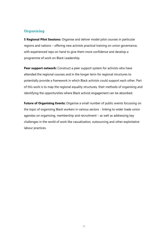#### **Organising**

**5 Regional Pilot Sessions:** Organise and deliver model pilot courses in particular regions and nations – offering new activists practical training on union governance, with experienced reps on hand to give them more confidence and develop a programme of work on Black Leadership.

**Peer support network:** Construct a peer support system for activists who have attended the regional courses and in the longer term for regional structures to potentially provide a framework in which Black activists could support each other. Part of this work is to map the regional equality structures, their methods of organising and identifying the opportunities where Black activist engagement can be absorbed.

**Future of Organising Events:** Organise a small number of public events focussing on the topic of organising Black workers in various sectors - linking to wider trade union agendas on organising, membership and recruitment – as well as addressing key challenges in the world of work like casualisation, outsourcing and other exploitative labour practices.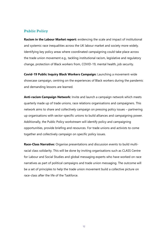#### **Public Policy**

**Racism in the Labour Market report:** evidencing the scale and impact of institutional and systemic race inequalities across the UK labour market and society more widely. Identifying key policy areas where coordinated campaigning could take place across the trade union movement e.g., tackling institutional racism, legislative and regulatory change, protection of Black workers from, COVID-19, mental health, job security.

**Covid-19 Public Inquiry Black Workers Campaign:** Launching a movement-wide showcase campaign, centring on the experiences of Black workers during the pandemic and demanding lessons are learned.

**Anti-racism Campaign Network:** Invite and launch a campaign network which meets quarterly made up of trade unions, race relations organisations and campaigners. This network aims to share and collectively campaign on pressing policy issues – partnering up organisations with sector-specific unions to build alliances and campaigning power. Additionally, the Public Policy workstream will identify policy and campaigning opportunities, provide briefing and resources. For trade unions and activists to come together and collectively campaign on specific policy issues.

**Race-Class Narrative:** Organise presentations and discussion events to build multiracial class solidarity. This will be done by inviting organisations such as CLASS Centre for Labour and Social Studies and global messaging experts who have worked on race narratives as part of political campaigns and trade union messaging. The outcome will be a set of principles to help the trade union movement build a collective picture on race-class after the life of the Taskforce.